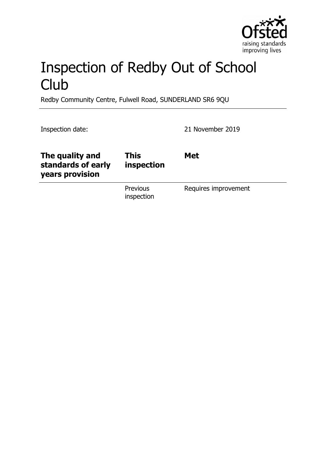

# Inspection of Redby Out of School **Club**

Redby Community Centre, Fulwell Road, SUNDERLAND SR6 9QU

Inspection date: 21 November 2019

| The quality and<br>standards of early<br>years provision | This<br>inspection            | <b>Met</b>           |
|----------------------------------------------------------|-------------------------------|----------------------|
|                                                          | <b>Previous</b><br>inspection | Requires improvement |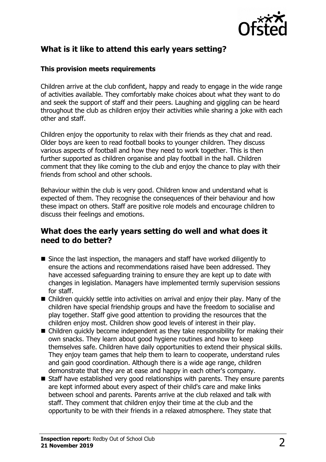

# **What is it like to attend this early years setting?**

## **This provision meets requirements**

Children arrive at the club confident, happy and ready to engage in the wide range of activities available. They comfortably make choices about what they want to do and seek the support of staff and their peers. Laughing and giggling can be heard throughout the club as children enjoy their activities while sharing a joke with each other and staff.

Children enjoy the opportunity to relax with their friends as they chat and read. Older boys are keen to read football books to younger children. They discuss various aspects of football and how they need to work together. This is then further supported as children organise and play football in the hall. Children comment that they like coming to the club and enjoy the chance to play with their friends from school and other schools.

Behaviour within the club is very good. Children know and understand what is expected of them. They recognise the consequences of their behaviour and how these impact on others. Staff are positive role models and encourage children to discuss their feelings and emotions.

## **What does the early years setting do well and what does it need to do better?**

- $\blacksquare$  Since the last inspection, the managers and staff have worked diligently to ensure the actions and recommendations raised have been addressed. They have accessed safeguarding training to ensure they are kept up to date with changes in legislation. Managers have implemented termly supervision sessions for staff.
- $\blacksquare$  Children quickly settle into activities on arrival and enjoy their play. Many of the children have special friendship groups and have the freedom to socialise and play together. Staff give good attention to providing the resources that the children enjoy most. Children show good levels of interest in their play.
- $\blacksquare$  Children quickly become independent as they take responsibility for making their own snacks. They learn about good hygiene routines and how to keep themselves safe. Children have daily opportunities to extend their physical skills. They enjoy team games that help them to learn to cooperate, understand rules and gain good coordination. Although there is a wide age range, children demonstrate that they are at ease and happy in each other's company.
- $\blacksquare$  Staff have established very good relationships with parents. They ensure parents are kept informed about every aspect of their child's care and make links between school and parents. Parents arrive at the club relaxed and talk with staff. They comment that children enjoy their time at the club and the opportunity to be with their friends in a relaxed atmosphere. They state that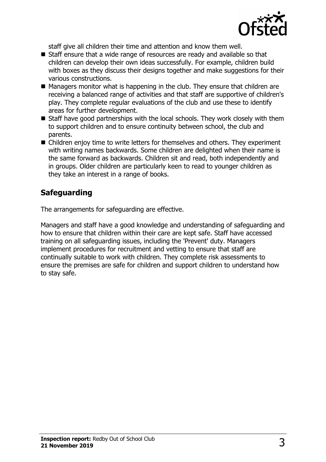

staff give all children their time and attention and know them well.

- $\blacksquare$  Staff ensure that a wide range of resources are ready and available so that children can develop their own ideas successfully. For example, children build with boxes as they discuss their designs together and make suggestions for their various constructions.
- $\blacksquare$  Managers monitor what is happening in the club. They ensure that children are receiving a balanced range of activities and that staff are supportive of children's play. They complete regular evaluations of the club and use these to identify areas for further development.
- $\blacksquare$  Staff have good partnerships with the local schools. They work closely with them to support children and to ensure continuity between school, the club and parents.
- $\blacksquare$  Children enjoy time to write letters for themselves and others. They experiment with writing names backwards. Some children are delighted when their name is the same forward as backwards. Children sit and read, both independently and in groups. Older children are particularly keen to read to younger children as they take an interest in a range of books.

# **Safeguarding**

The arrangements for safeguarding are effective.

Managers and staff have a good knowledge and understanding of safeguarding and how to ensure that children within their care are kept safe. Staff have accessed training on all safeguarding issues, including the 'Prevent' duty. Managers implement procedures for recruitment and vetting to ensure that staff are continually suitable to work with children. They complete risk assessments to ensure the premises are safe for children and support children to understand how to stay safe.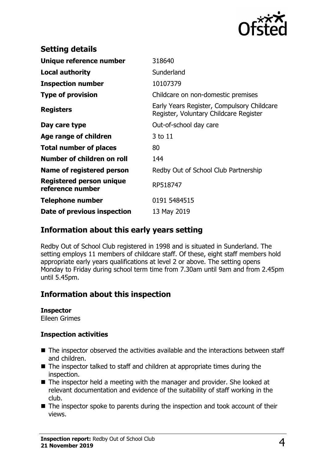

| <b>Setting details</b>                              |                                                                                      |
|-----------------------------------------------------|--------------------------------------------------------------------------------------|
| Unique reference number                             | 318640                                                                               |
| <b>Local authority</b>                              | Sunderland                                                                           |
| <b>Inspection number</b>                            | 10107379                                                                             |
| <b>Type of provision</b>                            | Childcare on non-domestic premises                                                   |
| <b>Registers</b>                                    | Early Years Register, Compulsory Childcare<br>Register, Voluntary Childcare Register |
| Day care type                                       | Out-of-school day care                                                               |
| Age range of children                               | 3 to 11                                                                              |
| <b>Total number of places</b>                       | 80                                                                                   |
| Number of children on roll                          | 144                                                                                  |
| Name of registered person                           | Redby Out of School Club Partnership                                                 |
| <b>Registered person unique</b><br>reference number | RP518747                                                                             |
| <b>Telephone number</b>                             | 0191 5484515                                                                         |
| Date of previous inspection                         | 13 May 2019                                                                          |

## **Information about this early years setting**

Redby Out of School Club registered in 1998 and is situated in Sunderland. The setting employs 11 members of childcare staff. Of these, eight staff members hold appropriate early years qualifications at level 2 or above. The setting opens Monday to Friday during school term time from 7.30am until 9am and from 2.45pm until 5.45pm.

# **Information about this inspection**

## **Inspector**

Eileen Grimes

## **Inspection activities**

- $\blacksquare$  The inspector observed the activities available and the interactions between staff and children.
- $\blacksquare$  The inspector talked to staff and children at appropriate times during the inspection.
- $\blacksquare$  The inspector held a meeting with the manager and provider. She looked at relevant documentation and evidence of the suitability of staff working in the club.
- $\blacksquare$  The inspector spoke to parents during the inspection and took account of their views.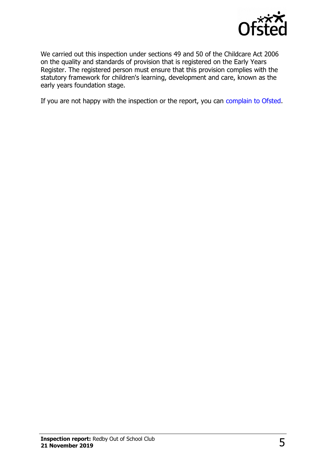

We carried out this inspection under sections 49 and 50 of the Childcare Act 2006 on the quality and standards of provision that is registered on the Early Years Register. The registered person must ensure that this provision complies with the statutory framework for children's learning, development and care, known as the early years foundation stage.

If you are not happy with the inspection or the report, you can [complain to Ofsted.](http://www.gov.uk/complain-ofsted-report)